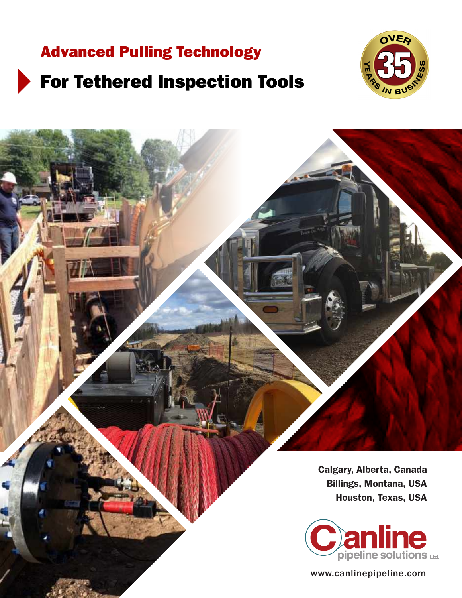# Advanced Pulling Technology

# For Tethered Inspection Tools





Calgary, Alberta, Canada Billings, Montana, USA Houston, Texas, USA



www.canlinepipeline.com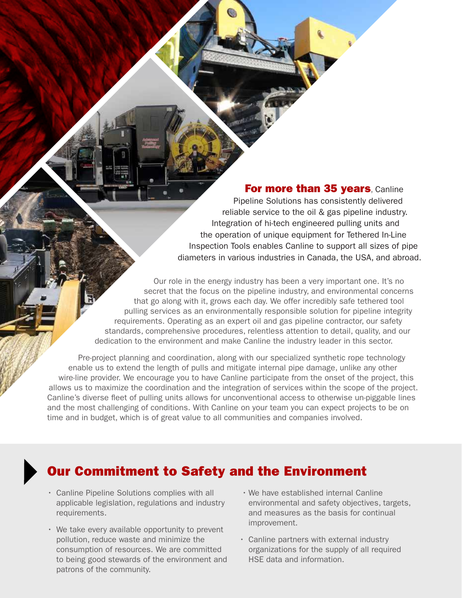**For more than 35 years, Canline** Pipeline Solutions has consistently delivered reliable service to the oil & gas pipeline industry. Integration of hi-tech engineered pulling units and the operation of unique equipment for Tethered In-Line Inspection Tools enables Canline to support all sizes of pipe diameters in various industries in Canada, the USA, and abroad.

Our role in the energy industry has been a very important one. It's no secret that the focus on the pipeline industry, and environmental concerns that go along with it, grows each day. We offer incredibly safe tethered tool pulling services as an environmentally responsible solution for pipeline integrity requirements. Operating as an expert oil and gas pipeline contractor, our safety standards, comprehensive procedures, relentless attention to detail, quality, and our dedication to the environment and make Canline the industry leader in this sector.

Pre-project planning and coordination, along with our specialized synthetic rope technology enable us to extend the length of pulls and mitigate internal pipe damage, unlike any other wire-line provider. We encourage you to have Canline participate from the onset of the project, this allows us to maximize the coordination and the integration of services within the scope of the project. Canline's diverse fleet of pulling units allows for unconventional access to otherwise un-piggable lines and the most challenging of conditions. With Canline on your team you can expect projects to be on time and in budget, which is of great value to all communities and companies involved.

### Our Commitment to Safety and the Environment

- Canline Pipeline Solutions complies with all applicable legislation, regulations and industry requirements.
- We take every available opportunity to prevent pollution, reduce waste and minimize the consumption of resources. We are committed to being good stewards of the environment and patrons of the community.
- We have established internal Canline environmental and safety objectives, targets, and measures as the basis for continual improvement.
- Canline partners with external industry organizations for the supply of all required HSE data and information.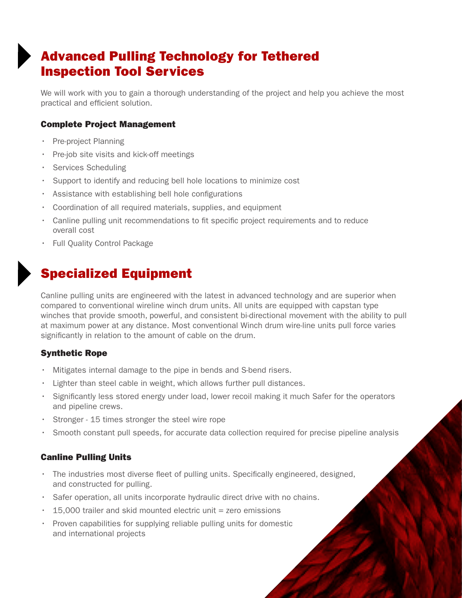## Advanced Pulling Technology for Tethered Inspection Tool Services

We will work with you to gain a thorough understanding of the project and help you achieve the most practical and efficient solution.

#### Complete Project Management

- Pre-project Planning
- Pre-job site visits and kick-off meetings
- Services Scheduling
- Support to identify and reducing bell hole locations to minimize cost
- Assistance with establishing bell hole configurations
- Coordination of all required materials, supplies, and equipment
- Canline pulling unit recommendations to fit specific project requirements and to reduce overall cost
- Full Quality Control Package

## Specialized Equipment

Canline pulling units are engineered with the latest in advanced technology and are superior when compared to conventional wireline winch drum units. All units are equipped with capstan type winches that provide smooth, powerful, and consistent bi-directional movement with the ability to pull at maximum power at any distance. Most conventional Winch drum wire-line units pull force varies significantly in relation to the amount of cable on the drum.

#### Synthetic Rope

- Mitigates internal damage to the pipe in bends and S-bend risers.
- Lighter than steel cable in weight, which allows further pull distances.
- Significantly less stored energy under load, lower recoil making it much Safer for the operators and pipeline crews.
- Stronger 15 times stronger the steel wire rope
- Smooth constant pull speeds, for accurate data collection required for precise pipeline analysis

#### Canline Pulling Units

- The industries most diverse fleet of pulling units. Specifically engineered, designed, and constructed for pulling.
- Safer operation, all units incorporate hydraulic direct drive with no chains.
- 15,000 trailer and skid mounted electric unit = zero emissions
- Proven capabilities for supplying reliable pulling units for domestic and international projects